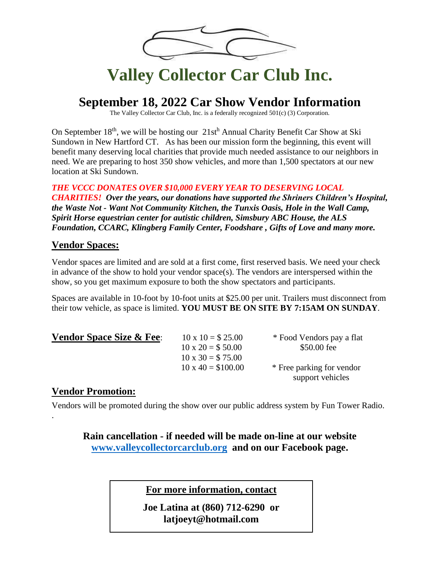

# **Valley Collector Car Club Inc.**

### **September 18, 2022 Car Show Vendor Information**

The Valley Collector Car Club, Inc. is a federally recognized 501(c) (3) Corporation.

On September 18<sup>th</sup>, we will be hosting our 21st<sup>h</sup> Annual Charity Benefit Car Show at Ski Sundown in New Hartford CT. As has been our mission form the beginning, this event will benefit many deserving local charities that provide much needed assistance to our neighbors in need. We are preparing to host 350 show vehicles, and more than 1,500 spectators at our new location at Ski Sundown.

*THE VCCC DONATES OVER \$10,000 EVERY YEAR TO DESERVING LOCAL* 

*CHARITIES! Over the years, our donations have supported the Shriners Children's Hospital, the Waste Not - Want Not Community Kitchen, the Tunxis Oasis, Hole in the Wall Camp, Spirit Horse equestrian center for autistic children, Simsbury ABC House, the ALS Foundation, CCARC, Klingberg Family Center, Foodshare , Gifts of Love and many more.*

#### **Vendor Spaces:**

Vendor spaces are limited and are sold at a first come, first reserved basis. We need your check in advance of the show to hold your vendor space(s). The vendors are interspersed within the show, so you get maximum exposure to both the show spectators and participants.

Spaces are available in 10-foot by 10-foot units at \$25.00 per unit. Trailers must disconnect from their tow vehicle, as space is limited. **YOU MUST BE ON SITE BY 7:15AM ON SUNDAY**.

#### **Vendor Space Size & Fee**:  $10 \times 10 = $25.00$  \* Food Vendors pay a flat

 $10 \times 30 = $75.00$ 

 $10 \times 20 = $50.00$  \$50.00 fee  $10 \times 40 = $100.00$  \* Free parking for vendor

### support vehicles

#### **Vendor Promotion:**

.

Vendors will be promoted during the show over our public address system by Fun Tower Radio.

**Rain cancellation - if needed will be made on-line at our website [www.valleycollectorcarclub.org](http://www.valleycollectorcarclub.org/) and on our Facebook page.**

**For more information, contact**

**Joe Latina at (860) 712-6290 or latjoeyt@hotmail.com**